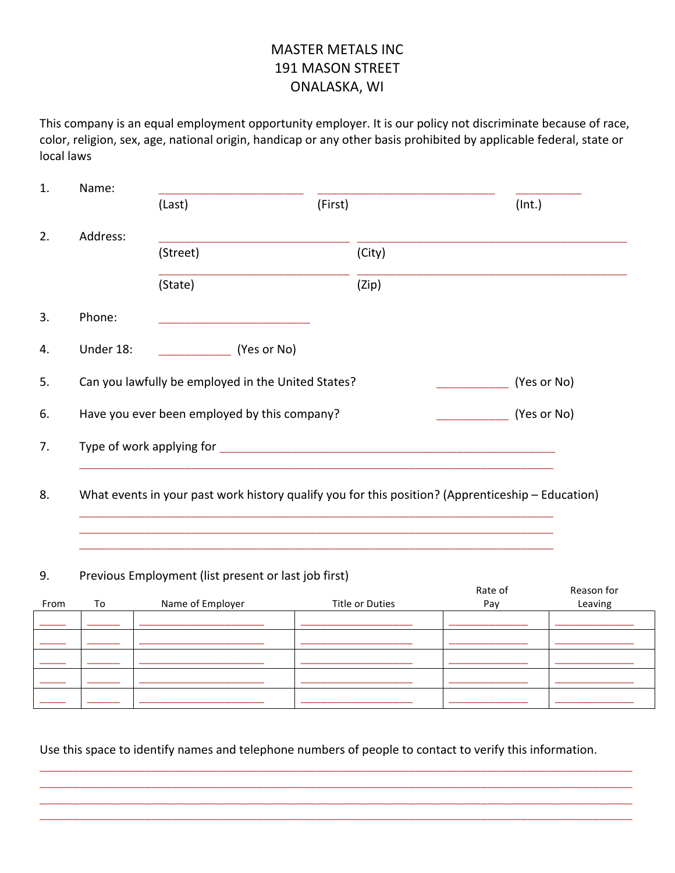# **MASTER METALS INC** 191 MASON STREET ONALASKA, WI

This company is an equal employment opportunity employer. It is our policy not discriminate because of race, color, religion, sex, age, national origin, handicap or any other basis prohibited by applicable federal, state or local laws

| Name:     |                                                                                                   |         |        |             |
|-----------|---------------------------------------------------------------------------------------------------|---------|--------|-------------|
|           | (Last)                                                                                            | (First) |        | (Int.)      |
| Address:  |                                                                                                   |         |        |             |
|           | (Street)                                                                                          |         | (City) |             |
|           | (State)                                                                                           |         | (Zip)  |             |
| Phone:    |                                                                                                   |         |        |             |
| Under 18: | (Yes or No)                                                                                       |         |        |             |
|           | Can you lawfully be employed in the United States?                                                |         |        | (Yes or No) |
|           | Have you ever been employed by this company?                                                      |         |        | (Yes or No) |
|           |                                                                                                   |         |        |             |
|           |                                                                                                   |         |        |             |
|           | What events in your past work history qualify you for this position? (Apprenticeship – Education) |         |        |             |

## 9. Previous Employment (list present or last job first)

|      |    |                  |                 | Rate of | Reason for |
|------|----|------------------|-----------------|---------|------------|
| From | To | Name of Employer | Title or Duties | Pay     | Leaving    |
|      |    |                  |                 |         |            |
|      |    |                  |                 |         |            |
|      |    |                  |                 |         |            |
|      |    |                  |                 |         |            |
|      |    |                  |                 |         |            |
|      |    |                  |                 |         |            |

Use this space to identify names and telephone numbers of people to contact to verify this information.

\_\_\_\_\_\_\_\_\_\_\_\_\_\_\_\_\_\_\_\_\_\_\_\_\_\_\_\_\_\_\_\_\_\_\_\_\_\_\_\_\_\_\_\_\_\_\_\_\_\_\_\_\_\_\_\_\_\_\_\_\_\_\_\_\_\_\_\_\_\_\_\_\_\_\_\_\_\_\_\_\_\_\_\_\_\_\_\_\_\_ \_\_\_\_\_\_\_\_\_\_\_\_\_\_\_\_\_\_\_\_\_\_\_\_\_\_\_\_\_\_\_\_\_\_\_\_\_\_\_\_\_\_\_\_\_\_\_\_\_\_\_\_\_\_\_\_\_\_\_\_\_\_\_\_\_\_\_\_\_\_\_\_\_\_\_\_\_\_\_\_\_\_\_\_\_\_\_\_\_\_ \_\_\_\_\_\_\_\_\_\_\_\_\_\_\_\_\_\_\_\_\_\_\_\_\_\_\_\_\_\_\_\_\_\_\_\_\_\_\_\_\_\_\_\_\_\_\_\_\_\_\_\_\_\_\_\_\_\_\_\_\_\_\_\_\_\_\_\_\_\_\_\_\_\_\_\_\_\_\_\_\_\_\_\_\_\_\_\_\_\_ \_\_\_\_\_\_\_\_\_\_\_\_\_\_\_\_\_\_\_\_\_\_\_\_\_\_\_\_\_\_\_\_\_\_\_\_\_\_\_\_\_\_\_\_\_\_\_\_\_\_\_\_\_\_\_\_\_\_\_\_\_\_\_\_\_\_\_\_\_\_\_\_\_\_\_\_\_\_\_\_\_\_\_\_\_\_\_\_\_\_